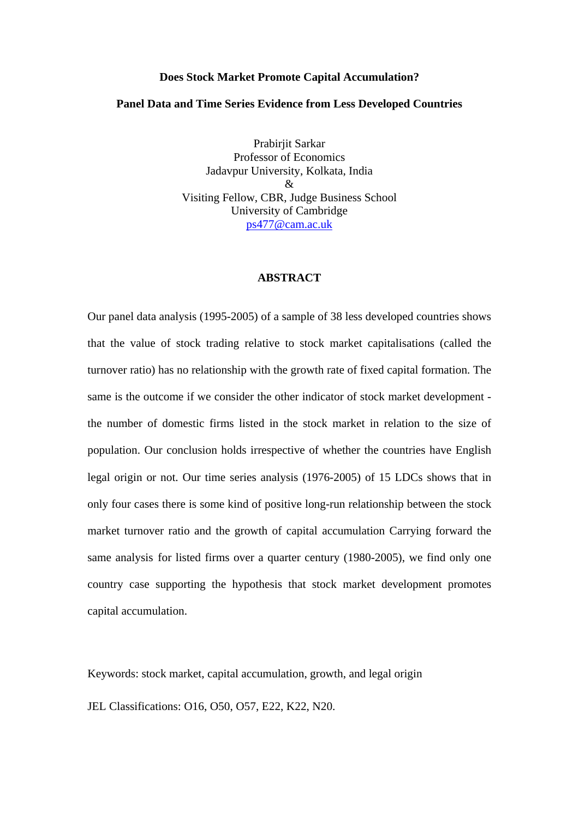#### **Does Stock Market Promote Capital Accumulation?**

#### **Panel Data and Time Series Evidence from Less Developed Countries**

Prabirjit Sarkar Professor of Economics Jadavpur University, Kolkata, India  $\mathcal{R}$ Visiting Fellow, CBR, Judge Business School University of Cambridge [ps477@cam.ac.uk](mailto:ps477@cam.ac.uk)

## **ABSTRACT**

Our panel data analysis (1995-2005) of a sample of 38 less developed countries shows that the value of stock trading relative to stock market capitalisations (called the turnover ratio) has no relationship with the growth rate of fixed capital formation. The same is the outcome if we consider the other indicator of stock market development the number of domestic firms listed in the stock market in relation to the size of population. Our conclusion holds irrespective of whether the countries have English legal origin or not. Our time series analysis (1976-2005) of 15 LDCs shows that in only four cases there is some kind of positive long-run relationship between the stock market turnover ratio and the growth of capital accumulation Carrying forward the same analysis for listed firms over a quarter century (1980-2005), we find only one country case supporting the hypothesis that stock market development promotes capital accumulation.

Keywords: stock market, capital accumulation, growth, and legal origin

JEL Classifications: O16, O50, O57, E22, K22, N20.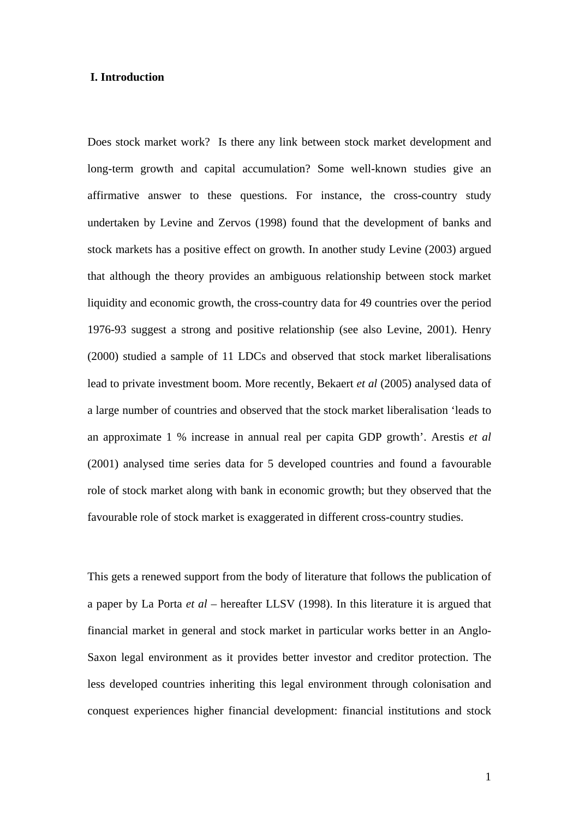### **I. Introduction**

Does stock market work? Is there any link between stock market development and long-term growth and capital accumulation? Some well-known studies give an affirmative answer to these questions. For instance, the cross-country study undertaken by Levine and Zervos (1998) found that the development of banks and stock markets has a positive effect on growth. In another study Levine (2003) argued that although the theory provides an ambiguous relationship between stock market liquidity and economic growth, the cross-country data for 49 countries over the period 1976-93 suggest a strong and positive relationship (see also Levine, 2001). Henry (2000) studied a sample of 11 LDCs and observed that stock market liberalisations lead to private investment boom. More recently, Bekaert *et al* (2005) analysed data of a large number of countries and observed that the stock market liberalisation 'leads to an approximate 1 % increase in annual real per capita GDP growth'. Arestis *et al* (2001) analysed time series data for 5 developed countries and found a favourable role of stock market along with bank in economic growth; but they observed that the favourable role of stock market is exaggerated in different cross-country studies.

This gets a renewed support from the body of literature that follows the publication of a paper by La Porta *et al* – hereafter LLSV (1998). In this literature it is argued that financial market in general and stock market in particular works better in an Anglo-Saxon legal environment as it provides better investor and creditor protection. The less developed countries inheriting this legal environment through colonisation and conquest experiences higher financial development: financial institutions and stock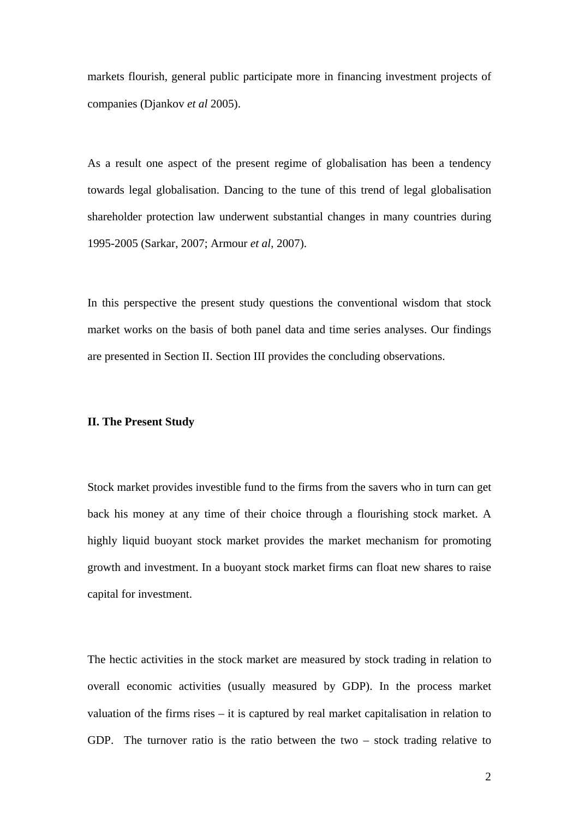markets flourish, general public participate more in financing investment projects of companies (Djankov *et al* 2005).

As a result one aspect of the present regime of globalisation has been a tendency towards legal globalisation. Dancing to the tune of this trend of legal globalisation shareholder protection law underwent substantial changes in many countries during 1995-2005 (Sarkar, 2007; Armour *et al*, 2007).

In this perspective the present study questions the conventional wisdom that stock market works on the basis of both panel data and time series analyses. Our findings are presented in Section II. Section III provides the concluding observations.

#### **II. The Present Study**

Stock market provides investible fund to the firms from the savers who in turn can get back his money at any time of their choice through a flourishing stock market. A highly liquid buoyant stock market provides the market mechanism for promoting growth and investment. In a buoyant stock market firms can float new shares to raise capital for investment.

The hectic activities in the stock market are measured by stock trading in relation to overall economic activities (usually measured by GDP). In the process market valuation of the firms rises – it is captured by real market capitalisation in relation to GDP. The turnover ratio is the ratio between the two – stock trading relative to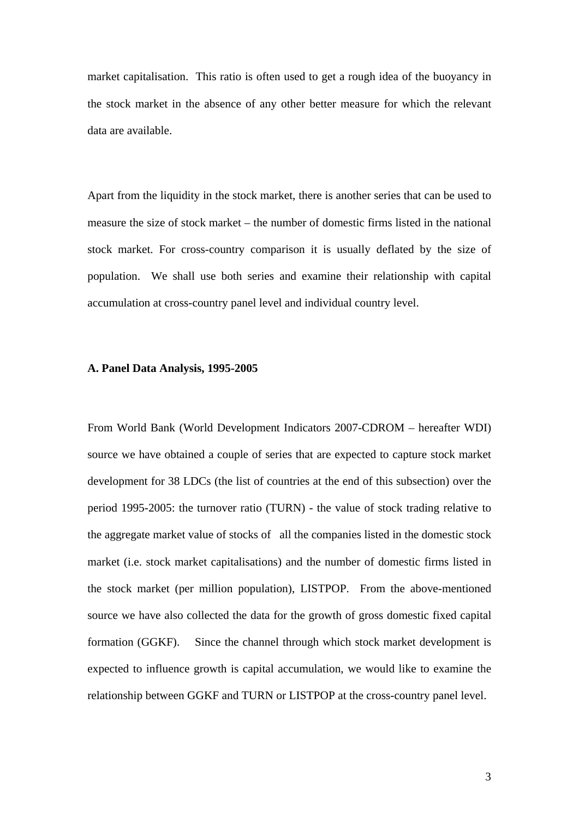market capitalisation. This ratio is often used to get a rough idea of the buoyancy in the stock market in the absence of any other better measure for which the relevant data are available.

Apart from the liquidity in the stock market, there is another series that can be used to measure the size of stock market – the number of domestic firms listed in the national stock market. For cross-country comparison it is usually deflated by the size of population. We shall use both series and examine their relationship with capital accumulation at cross-country panel level and individual country level.

#### **A. Panel Data Analysis, 1995-2005**

From World Bank (World Development Indicators 2007-CDROM – hereafter WDI) source we have obtained a couple of series that are expected to capture stock market development for 38 LDCs (the list of countries at the end of this subsection) over the period 1995-2005: the turnover ratio (TURN) - the value of stock trading relative to the aggregate market value of stocks of all the companies listed in the domestic stock market (i.e. stock market capitalisations) and the number of domestic firms listed in the stock market (per million population), LISTPOP. From the above-mentioned source we have also collected the data for the growth of gross domestic fixed capital formation (GGKF). Since the channel through which stock market development is expected to influence growth is capital accumulation, we would like to examine the relationship between GGKF and TURN or LISTPOP at the cross-country panel level.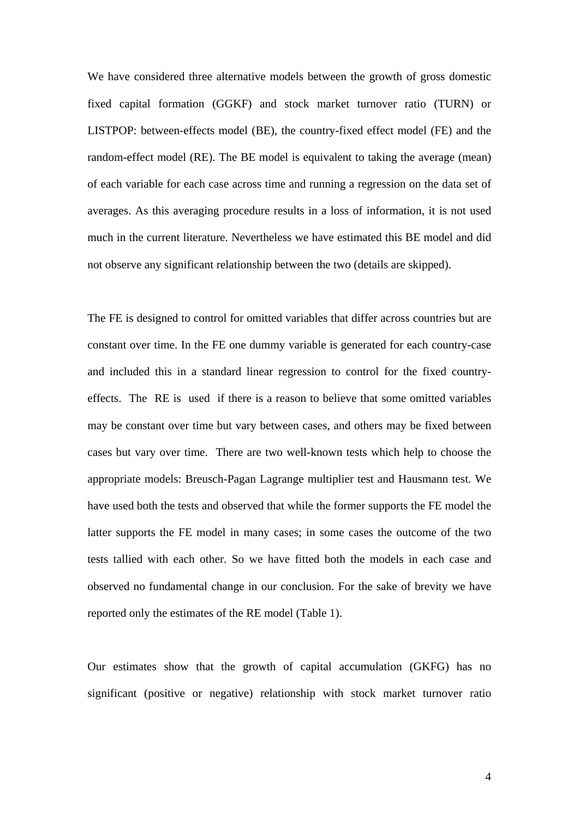We have considered three alternative models between the growth of gross domestic fixed capital formation (GGKF) and stock market turnover ratio (TURN) or LISTPOP: between-effects model (BE), the country-fixed effect model (FE) and the random-effect model (RE). The BE model is equivalent to taking the average (mean) of each variable for each case across time and running a regression on the data set of averages. As this averaging procedure results in a loss of information, it is not used much in the current literature. Nevertheless we have estimated this BE model and did not observe any significant relationship between the two (details are skipped).

The FE is designed to control for omitted variables that differ across countries but are constant over time. In the FE one dummy variable is generated for each country-case and included this in a standard linear regression to control for the fixed countryeffects. The RE is used if there is a reason to believe that some omitted variables may be constant over time but vary between cases, and others may be fixed between cases but vary over time. There are two well-known tests which help to choose the appropriate models: Breusch-Pagan Lagrange multiplier test and Hausmann test. We have used both the tests and observed that while the former supports the FE model the latter supports the FE model in many cases; in some cases the outcome of the two tests tallied with each other. So we have fitted both the models in each case and observed no fundamental change in our conclusion. For the sake of brevity we have reported only the estimates of the RE model (Table 1).

Our estimates show that the growth of capital accumulation (GKFG) has no significant (positive or negative) relationship with stock market turnover ratio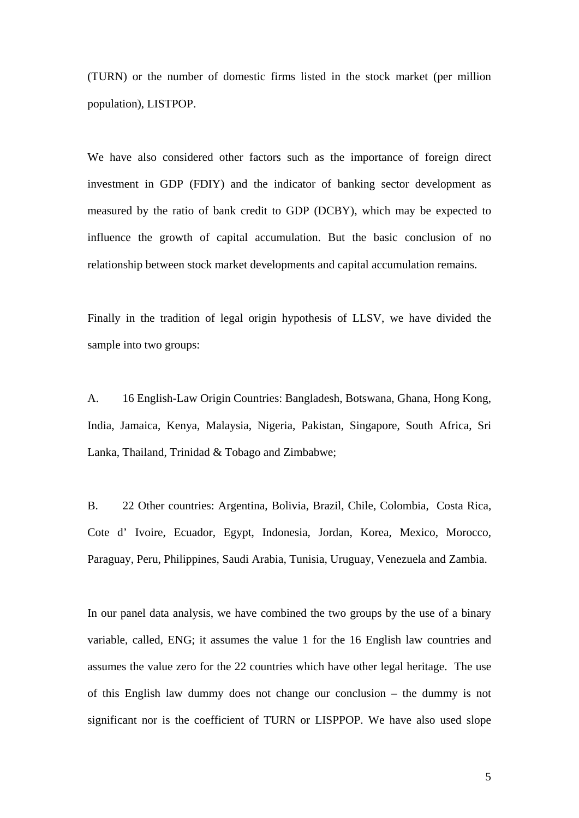(TURN) or the number of domestic firms listed in the stock market (per million population), LISTPOP.

We have also considered other factors such as the importance of foreign direct investment in GDP (FDIY) and the indicator of banking sector development as measured by the ratio of bank credit to GDP (DCBY), which may be expected to influence the growth of capital accumulation. But the basic conclusion of no relationship between stock market developments and capital accumulation remains.

Finally in the tradition of legal origin hypothesis of LLSV, we have divided the sample into two groups:

A. 16 English-Law Origin Countries: Bangladesh, Botswana, Ghana, Hong Kong, India, Jamaica, Kenya, Malaysia, Nigeria, Pakistan, Singapore, South Africa, Sri Lanka, Thailand, Trinidad & Tobago and Zimbabwe;

B. 22 Other countries: Argentina, Bolivia, Brazil, Chile, Colombia, Costa Rica, Cote d' Ivoire, Ecuador, Egypt, Indonesia, Jordan, Korea, Mexico, Morocco, Paraguay, Peru, Philippines, Saudi Arabia, Tunisia, Uruguay, Venezuela and Zambia.

In our panel data analysis, we have combined the two groups by the use of a binary variable, called, ENG; it assumes the value 1 for the 16 English law countries and assumes the value zero for the 22 countries which have other legal heritage. The use of this English law dummy does not change our conclusion – the dummy is not significant nor is the coefficient of TURN or LISPPOP. We have also used slope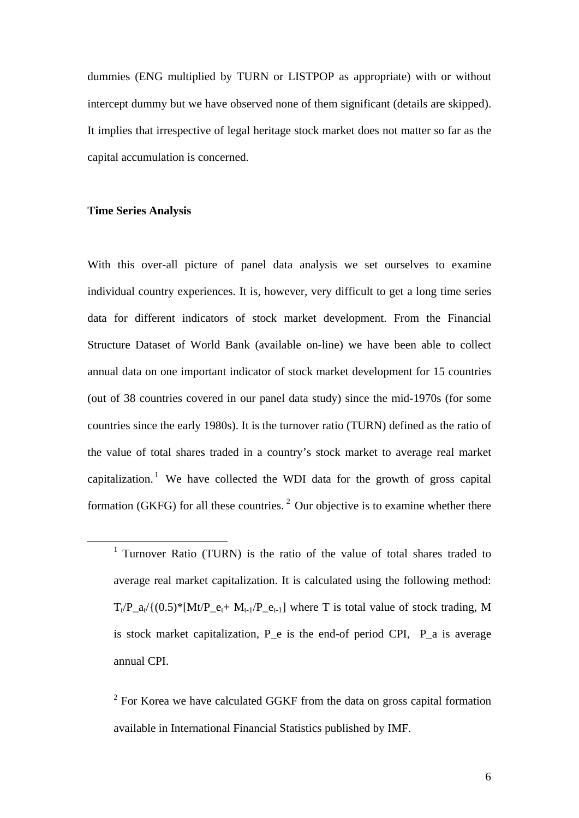dummies (ENG multiplied by TURN or LISTPOP as appropriate) with or without intercept dummy but we have observed none of them significant (details are skipped). It implies that irrespective of legal heritage stock market does not matter so far as the capital accumulation is concerned.

## **Time Series Analysis**

With this over-all picture of panel data analysis we set ourselves to examine individual country experiences. It is, however, very difficult to get a long time series data for different indicators of stock market development. From the Financial Structure Dataset of World Bank (available on-line) we have been able to collect annual data on one important indicator of stock market development for 15 countries (out of 38 countries covered in our panel data study) since the mid-1970s (for some countries since the early 1980s). It is the turnover ratio (TURN) defined as the ratio of the value of total shares traded in a country's stock market to average real market capitalization.<sup>[1](#page-6-0)</sup> We have collected the WDI data for the growth of gross capital formation (GKFG) for all these countries.<sup>[2](#page-6-1)</sup> Our objective is to examine whether there

<span id="page-6-0"></span> $\frac{1}{1}$ <sup>1</sup> Turnover Ratio (TURN) is the ratio of the value of total shares traded to average real market capitalization. It is calculated using the following method:  $T_t/P_a_t/{(0.5)^*}[Mt/P_e_t+ M_{t-1}/P_e_{t-1}]$  where T is total value of stock trading, M is stock market capitalization,  $P$  e is the end-of period CPI,  $P$  a is average annual CPI.

<span id="page-6-1"></span> $2^2$  For Korea we have calculated GGKF from the data on gross capital formation available in International Financial Statistics published by IMF.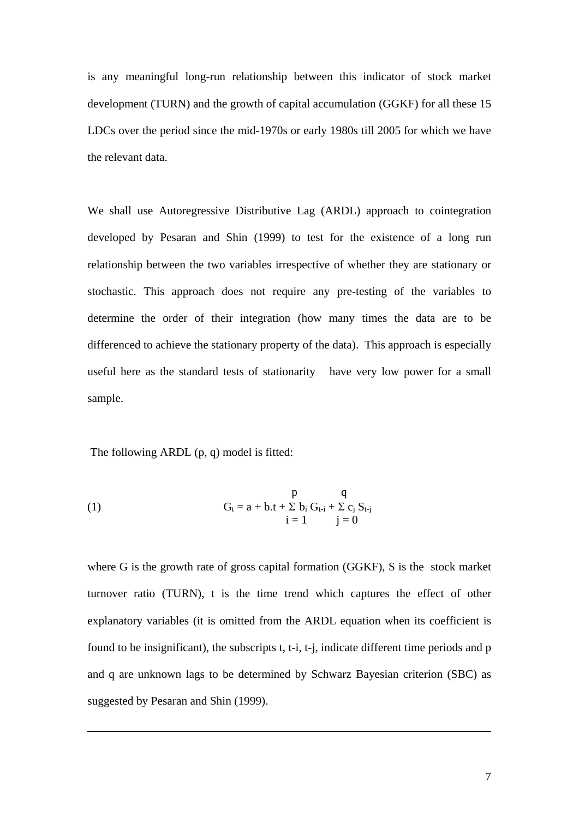is any meaningful long-run relationship between this indicator of stock market development (TURN) and the growth of capital accumulation (GGKF) for all these 15 LDCs over the period since the mid-1970s or early 1980s till 2005 for which we have the relevant data.

We shall use Autoregressive Distributive Lag (ARDL) approach to cointegration developed by Pesaran and Shin (1999) to test for the existence of a long run relationship between the two variables irrespective of whether they are stationary or stochastic. This approach does not require any pre-testing of the variables to determine the order of their integration (how many times the data are to be differenced to achieve the stationary property of the data). This approach is especially useful here as the standard tests of stationarity have very low power for a small sample.

The following ARDL (p, q) model is fitted:

1

(1) 
$$
G_{t} = a + b \cdot t + \sum b_{i} G_{t-i} + \sum c_{j} S_{t-j} \n i = 1 \qquad j = 0
$$

where G is the growth rate of gross capital formation (GGKF), S is the stock market turnover ratio (TURN), t is the time trend which captures the effect of other explanatory variables (it is omitted from the ARDL equation when its coefficient is found to be insignificant), the subscripts t, t-i, t-j, indicate different time periods and p and q are unknown lags to be determined by Schwarz Bayesian criterion (SBC) as suggested by Pesaran and Shin (1999).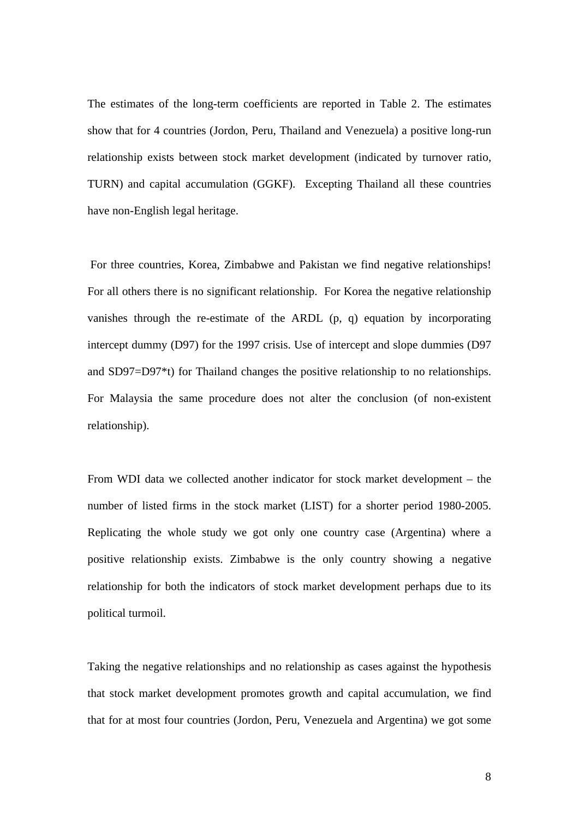The estimates of the long-term coefficients are reported in Table 2. The estimates show that for 4 countries (Jordon, Peru, Thailand and Venezuela) a positive long-run relationship exists between stock market development (indicated by turnover ratio, TURN) and capital accumulation (GGKF). Excepting Thailand all these countries have non-English legal heritage.

 For three countries, Korea, Zimbabwe and Pakistan we find negative relationships! For all others there is no significant relationship. For Korea the negative relationship vanishes through the re-estimate of the ARDL (p, q) equation by incorporating intercept dummy (D97) for the 1997 crisis. Use of intercept and slope dummies (D97 and SD97=D97\*t) for Thailand changes the positive relationship to no relationships. For Malaysia the same procedure does not alter the conclusion (of non-existent relationship).

From WDI data we collected another indicator for stock market development – the number of listed firms in the stock market (LIST) for a shorter period 1980-2005. Replicating the whole study we got only one country case (Argentina) where a positive relationship exists. Zimbabwe is the only country showing a negative relationship for both the indicators of stock market development perhaps due to its political turmoil.

Taking the negative relationships and no relationship as cases against the hypothesis that stock market development promotes growth and capital accumulation, we find that for at most four countries (Jordon, Peru, Venezuela and Argentina) we got some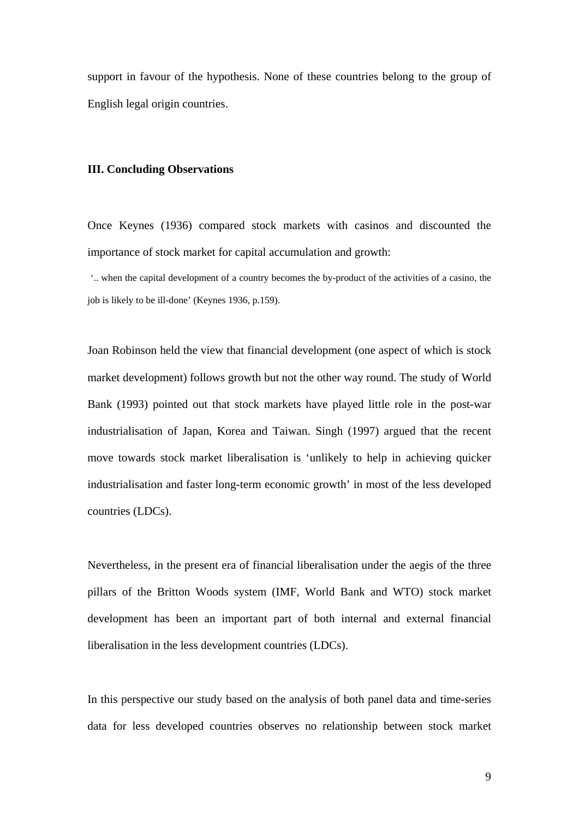support in favour of the hypothesis. None of these countries belong to the group of English legal origin countries.

#### **III. Concluding Observations**

Once Keynes (1936) compared stock markets with casinos and discounted the importance of stock market for capital accumulation and growth:

'.. when the capital development of a country becomes the by-product of the activities of a casino, the job is likely to be ill-done' (Keynes 1936, p.159).

Joan Robinson held the view that financial development (one aspect of which is stock market development) follows growth but not the other way round. The study of World Bank (1993) pointed out that stock markets have played little role in the post-war industrialisation of Japan, Korea and Taiwan. Singh (1997) argued that the recent move towards stock market liberalisation is 'unlikely to help in achieving quicker industrialisation and faster long-term economic growth' in most of the less developed countries (LDCs).

Nevertheless, in the present era of financial liberalisation under the aegis of the three pillars of the Britton Woods system (IMF, World Bank and WTO) stock market development has been an important part of both internal and external financial liberalisation in the less development countries (LDCs).

In this perspective our study based on the analysis of both panel data and time-series data for less developed countries observes no relationship between stock market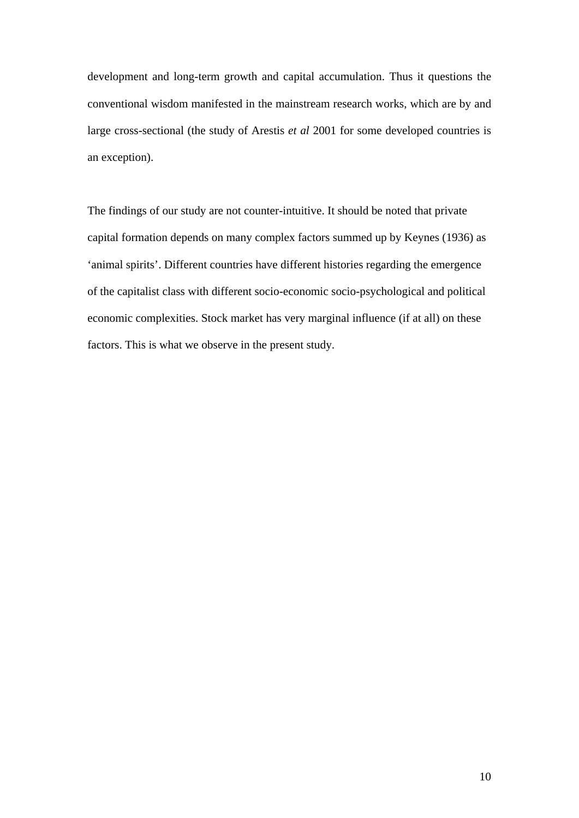development and long-term growth and capital accumulation. Thus it questions the conventional wisdom manifested in the mainstream research works, which are by and large cross-sectional (the study of Arestis *et al* 2001 for some developed countries is an exception).

The findings of our study are not counter-intuitive. It should be noted that private capital formation depends on many complex factors summed up by Keynes (1936) as 'animal spirits'. Different countries have different histories regarding the emergence of the capitalist class with different socio-economic socio-psychological and political economic complexities. Stock market has very marginal influence (if at all) on these factors. This is what we observe in the present study.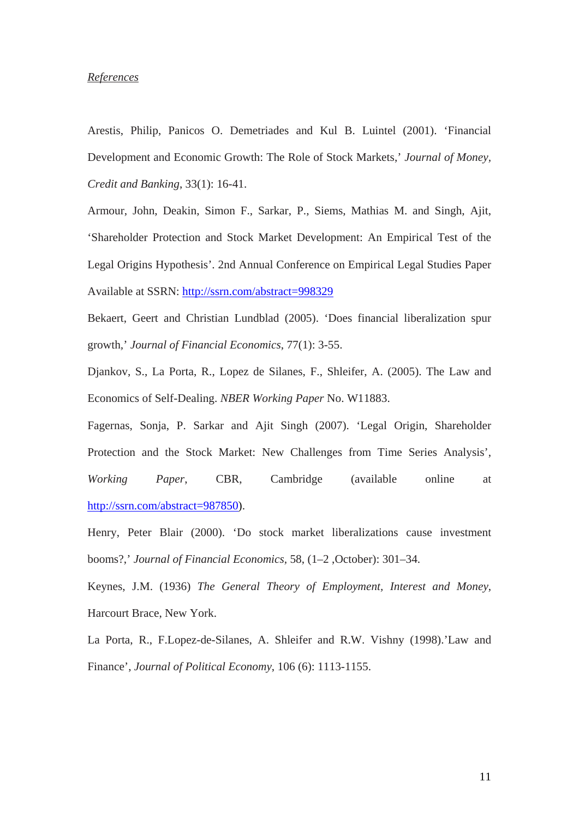## *References*

Arestis, Philip, Panicos O. Demetriades and Kul B. Luintel (2001). 'Financial Development and Economic Growth: The Role of Stock Markets,' *Journal of Money, Credit and Banking*, 33(1): 16-41.

Armour, John, Deakin, Simon F., Sarkar, P., Siems, Mathias M. and Singh, Ajit, 'Shareholder Protection and Stock Market Development: An Empirical Test of the Legal Origins Hypothesis'. 2nd Annual Conference on Empirical Legal Studies Paper Available at SSRN: <http://ssrn.com/abstract=998329>

Bekaert, Geert and Christian Lundblad (2005). 'Does financial liberalization spur growth*,*' *Journal of Financial Economics*, 77(1): 3-55.

Djankov, S., La Porta, R., Lopez de Silanes, F., Shleifer, A. (2005). The Law and Economics of Self-Dealing. *NBER Working Paper* No. W11883.

Fagernas, Sonja, P. Sarkar and Ajit Singh (2007). 'Legal Origin, Shareholder Protection and the Stock Market: New Challenges from Time Series Analysis', *Working Paper*, CBR, Cambridge (available online at <http://ssrn.com/abstract=987850>).

Henry, Peter Blair (2000). 'Do stock market liberalizations cause investment booms?,' *Journal of Financial Economics,* 58, (1–2 ,October): 301–34.

Keynes, J.M. (1936) *The General Theory of Employment, Interest and Money*, Harcourt Brace, New York.

La Porta, R., F.Lopez-de-Silanes, A. Shleifer and R.W. Vishny (1998).'Law and Finance', *Journal of Political Economy*, 106 (6): 1113-1155.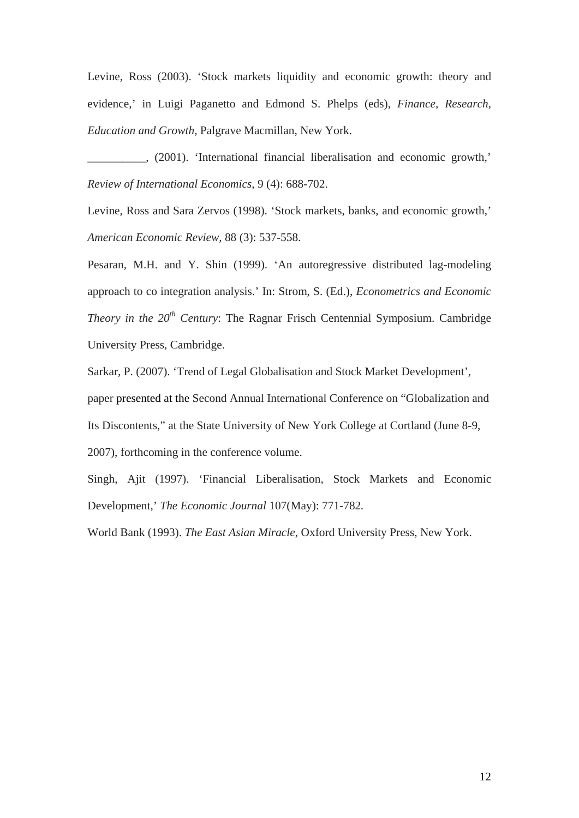Levine, Ross (2003). 'Stock markets liquidity and economic growth: theory and evidence,' in Luigi Paganetto and Edmond S. Phelps (eds), *Finance, Research, Education and Growth*, Palgrave Macmillan, New York.

\_\_\_\_\_\_\_\_\_\_, (2001). 'International financial liberalisation and economic growth,' *Review of International Economics*, 9 (4): 688-702.

Levine, Ross and Sara Zervos (1998). 'Stock markets, banks, and economic growth,' *American Economic Review,* 88 (3): 537-558.

Pesaran, M.H. and Y. Shin (1999). 'An autoregressive distributed lag-modeling approach to co integration analysis.' In: Strom, S. (Ed.), *Econometrics and Economic Theory in the*  $20<sup>th</sup>$  *Century*: The Ragnar Frisch Centennial Symposium. Cambridge University Press, Cambridge.

Sarkar, P. (2007). 'Trend of Legal Globalisation and Stock Market Development', paper presented at the Second Annual International Conference on "Globalization and Its Discontents," at the State University of New York College at Cortland (June 8-9, 2007), forthcoming in the conference volume.

Singh, Ajit (1997). 'Financial Liberalisation, Stock Markets and Economic Development,' *The Economic Journal* 107(May): 771-782*.* 

World Bank (1993). *The East Asian Miracle*, Oxford University Press, New York.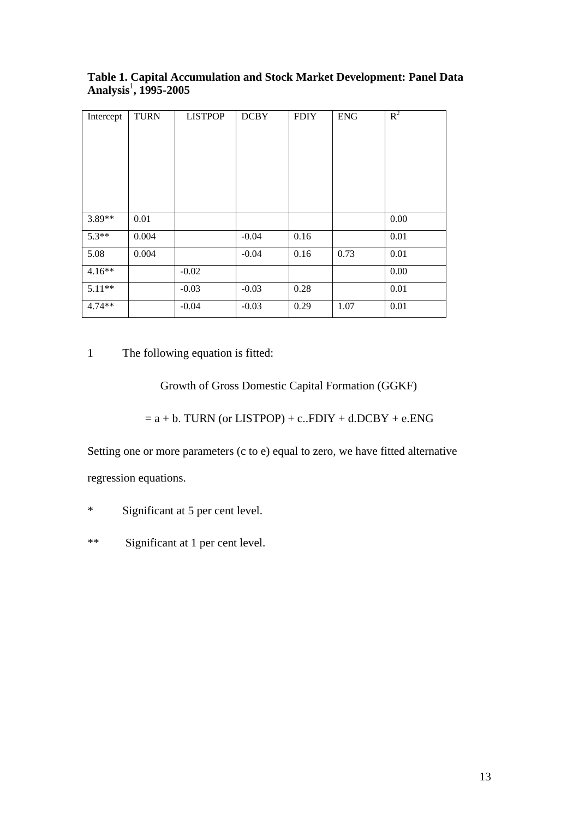| Intercept | <b>TURN</b> | <b>LISTPOP</b> | <b>DCBY</b> | <b>FDIY</b> | <b>ENG</b> | $R^2$ |
|-----------|-------------|----------------|-------------|-------------|------------|-------|
|           |             |                |             |             |            |       |
|           |             |                |             |             |            |       |
|           |             |                |             |             |            |       |
| 3.89**    | 0.01        |                |             |             |            | 0.00  |
| $5.3**$   | 0.004       |                | $-0.04$     | 0.16        |            | 0.01  |
| 5.08      | 0.004       |                | $-0.04$     | 0.16        | 0.73       | 0.01  |
| $4.16**$  |             | $-0.02$        |             |             |            | 0.00  |
| $5.11**$  |             | $-0.03$        | $-0.03$     | 0.28        |            | 0.01  |
| $4.74**$  |             | $-0.04$        | $-0.03$     | 0.29        | 1.07       | 0.01  |

**Table 1. Capital Accumulation and Stock Market Development: Panel Data Analysis**<sup>1</sup> **, 1995-2005** 

1 The following equation is fitted:

Growth of Gross Domestic Capital Formation (GGKF)

 $= a + b$ . TURN (or LISTPOP) + c..FDIY + d.DCBY + e.ENG

Setting one or more parameters (c to e) equal to zero, we have fitted alternative regression equations.

\* Significant at 5 per cent level.

\*\* Significant at 1 per cent level.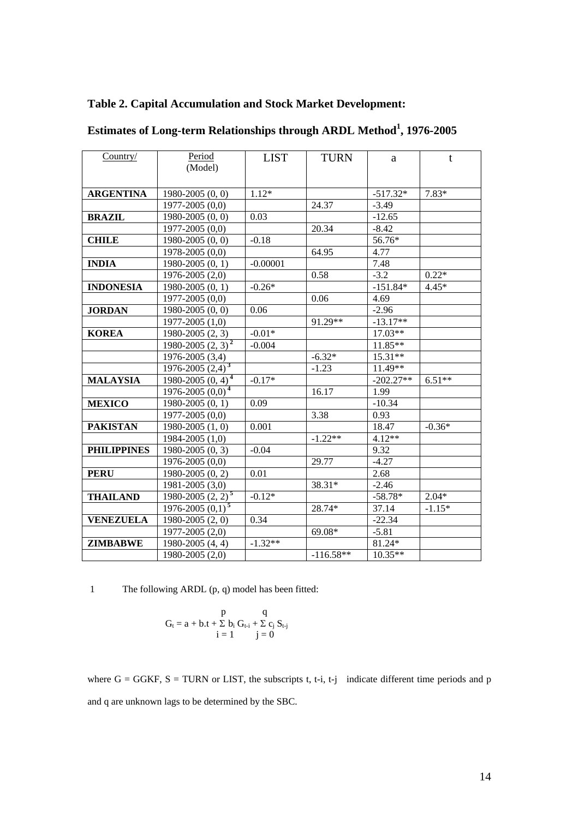| Country/           | Period                                      | <b>LIST</b> | <b>TURN</b> | a           | $t$      |
|--------------------|---------------------------------------------|-------------|-------------|-------------|----------|
|                    | (Model)                                     |             |             |             |          |
|                    |                                             |             |             |             |          |
| <b>ARGENTINA</b>   | $1980 - 2005(0, 0)$                         | $1.12*$     |             | $-517.32*$  | 7.83*    |
|                    | $1977 - 2005(0,0)$                          |             | 24.37       | $-3.49$     |          |
| <b>BRAZIL</b>      | $1980 - 2005(0, 0)$                         | 0.03        |             | $-12.65$    |          |
|                    | $1977 - 2005(0,0)$                          |             | 20.34       | $-8.42$     |          |
| <b>CHILE</b>       | 1980-2005 (0, 0)                            | $-0.18$     |             | 56.76*      |          |
|                    | 1978-2005 (0,0)                             |             | 64.95       | 4.77        |          |
| <b>INDIA</b>       | 1980-2005 (0, 1)                            | $-0.00001$  |             | 7.48        |          |
|                    | 1976-2005 (2,0)                             |             | 0.58        | $-3.2$      | $0.22*$  |
| <b>INDONESIA</b>   | 1980-2005 (0, 1)                            | $-0.26*$    |             | $-151.84*$  | $4.45*$  |
|                    | $1977 - 2005(0,0)$                          |             | 0.06        | 4.69        |          |
| <b>JORDAN</b>      | $1980 - 2005(0, 0)$                         | 0.06        |             | $-2.96$     |          |
|                    | $1977 - 2005(1,0)$                          |             | 91.29**     | $-13.17**$  |          |
| <b>KOREA</b>       | 1980-2005 (2, 3)                            | $-0.01*$    |             | 17.03**     |          |
|                    | 1980-2005 $(2, 3)^2$                        | $-0.004$    |             | 11.85**     |          |
|                    | 1976-2005 (3,4)                             |             | $-6.32*$    | $15.31**$   |          |
|                    | $\frac{1976-2005}{(2,4)^3}$                 |             | $-1.23$     | 11.49**     |          |
| <b>MALAYSIA</b>    | $1980 - 2005(0, 4)^4$                       | $-0.17*$    |             | $-202.27**$ | $6.51**$ |
|                    | $\overline{1976-2005(0,0)^4}$               |             | 16.17       | 1.99        |          |
| <b>MEXICO</b>      | 1980-2005 (0, 1)                            | 0.09        |             | $-10.34$    |          |
|                    | $1977 - 2005(0,0)$                          |             | 3.38        | 0.93        |          |
| <b>PAKISTAN</b>    | $1980 - 2005(1, 0)$                         | 0.001       |             | 18.47       | $-0.36*$ |
|                    | 1984-2005 (1,0)                             |             | $-1.22**$   | $4.12**$    |          |
| <b>PHILIPPINES</b> | 1980-2005 (0, 3)                            | $-0.04$     |             | 9.32        |          |
|                    | $1976 - 2005(0,0)$                          |             | 29.77       | $-4.27$     |          |
| <b>PERU</b>        | $1980 - 2005(0, 2)$                         | 0.01        |             | 2.68        |          |
|                    | 1981-2005 (3,0)                             |             | 38.31*      | $-2.46$     |          |
| <b>THAILAND</b>    | $\frac{1980 - 2005}{2}$ (2, 2) <sup>5</sup> | $-0.12*$    |             | $-58.78*$   | $2.04*$  |
|                    | $1976 - 2005(0,1)^{5}$                      |             | 28.74*      | 37.14       | $-1.15*$ |
| <b>VENEZUELA</b>   | 1980-2005 (2, 0)                            | 0.34        |             | $-22.34$    |          |
|                    | 1977-2005 (2,0)                             |             | 69.08*      | $-5.81$     |          |
| <b>ZIMBABWE</b>    | 1980-2005 (4, 4)                            | $-1.32**$   |             | 81.24*      |          |
|                    | 1980-2005 (2,0)                             |             | $-116.58**$ | $10.35**$   |          |

# **Table 2. Capital Accumulation and Stock Market Development:**

**Estimates of Long-term Relationships through ARDL Method<sup>1</sup> , 1976-2005** 

1 The following ARDL (p, q) model has been fitted:

$$
G_t = a + b \cdot t + \sum b_i G_{t-i} + \sum c_j S_{t-j}
$$
  

$$
i = 1 \qquad j = 0
$$

where  $G = GGKF$ ,  $S = TURN$  or LIST, the subscripts t, t-i, t-j indicate different time periods and p and q are unknown lags to be determined by the SBC.